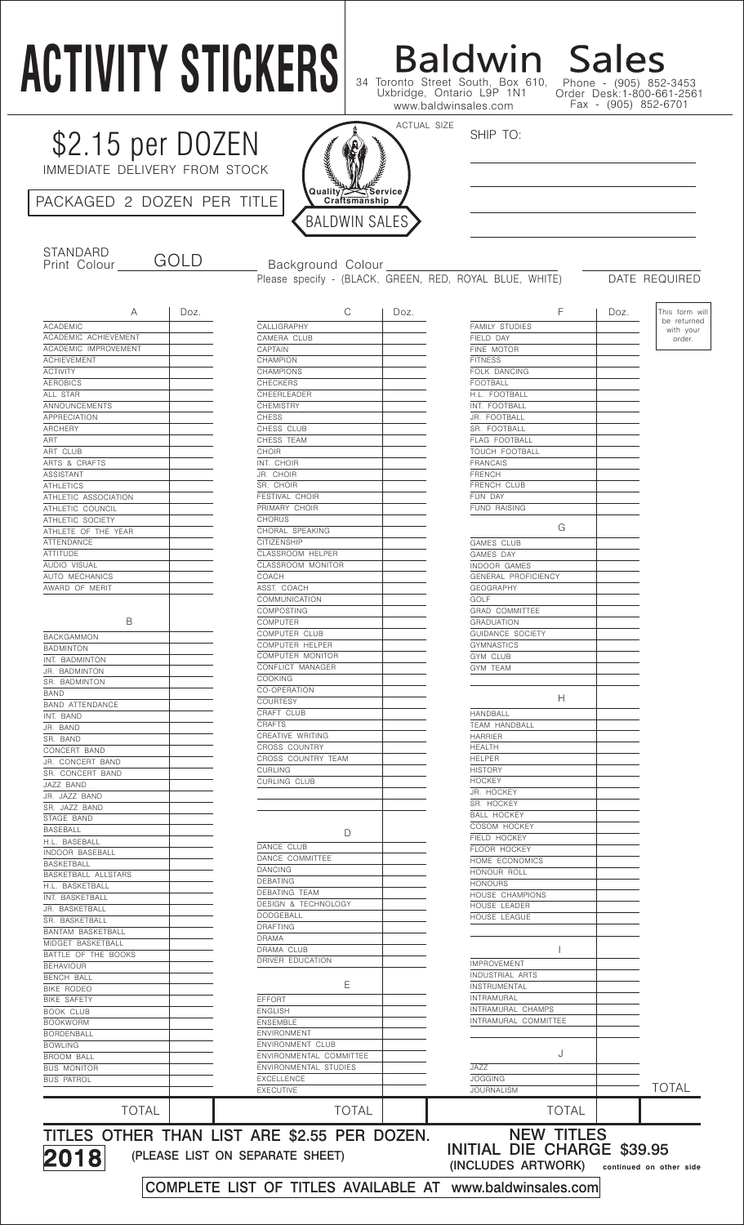# **ACTIVITY STICKERS**

\$2.15 per DOZEN

IMMEDIATE DELIVERY FROM STOCK

PACKAGED 2 DOZEN PER TITLE



STANDARD<br>Print Colour

GOLD Background Colour

Please specify - (BLACK, GREEN, RED, ROYAL BLUE, WHITE) DATE REQUIRED

SHIP TO:

34 Toronto Street South, Box 610, Uxbridge, Ontario L9P 1N1

Baldwin Sales

Phone - (905) 852-3453 Order Desk:1-800-661-2561 Fax - (905) 852-6701

| А                      | Doz. | С                     |
|------------------------|------|-----------------------|
| <b>ACADEMIC</b>        |      | CALLIGRAPHY           |
| ACADEMIC ACHIEVEMENT   |      | CAMERA CLUB           |
| ACADEMIC IMPROVEMENT   |      | CAPTAIN               |
| <b>ACHIEVEMENT</b>     |      | CHAMPION              |
| <b>ACTIVITY</b>        |      | <b>CHAMPIONS</b>      |
| <b>AEROBICS</b>        |      | <b>CHECKERS</b>       |
| ALL STAR               |      | CHEERLEADER           |
| ANNOUNCEMENTS          |      | <b>CHEMISTRY</b>      |
| <b>APPRECIATION</b>    |      | <b>CHESS</b>          |
| <b>ARCHERY</b>         |      | CHESS CLUB            |
| ART                    |      | CHESS TEAM            |
| ART CLUB               |      | CHOIR                 |
| ARTS & CRAFTS          |      | INT. CHOIR            |
| ASSISTANT              |      | JR. CHOIR             |
| <b>ATHLETICS</b>       |      | SR. CHOIR             |
| ATHLETIC ASSOCIATION   |      | <b>FESTIVAL CHOIR</b> |
| ATHLETIC COUNCIL       |      | PRIMARY CHOIR         |
| ATHLETIC SOCIETY       |      | <b>CHORUS</b>         |
| ATHLETE OF THE YEAR    |      | CHORAL SPEAKING       |
| ATTENDANCE             |      | <b>CITIZENSHIP</b>    |
|                        |      | CLASSROOM HELPER      |
| <b>ATTITUDE</b>        |      |                       |
| AUDIO VISUAL           |      | CLASSROOM MONITOR     |
| AUTO MECHANICS         |      | COACH                 |
| AWARD OF MERIT         |      | ASST. COACH           |
|                        |      | COMMUNICATION         |
|                        |      | <b>COMPOSTING</b>     |
| В                      |      | COMPUTER              |
| BACKGAMMON             |      | COMPUTER CLUB         |
| <b>BADMINTON</b>       |      | COMPUTER HELPER       |
| INT. BADMINTON         |      | COMPUTER MONITOR      |
| JR. BADMINTON          |      | CONFLICT MANAGER      |
| SR. BADMINTON          |      | <b>COOKING</b>        |
| <b>BAND</b>            |      | CO-OPERATION          |
| <b>BAND ATTENDANCE</b> |      | <b>COURTESY</b>       |
| INT. BAND              |      | CRAFT CLUB            |
| JR. BAND               |      | CRAFTS                |
| SR. BAND               |      | CREATIVE WRITING      |
| CONCERT BAND           |      | <b>CROSS COUNTRY</b>  |
| JR. CONCERT BAND       |      | CROSS COUNTRY TEAM    |
| SR. CONCERT BAND       |      | <b>CURLING</b>        |
| JAZZ BAND              |      | <b>CURLING CLUB</b>   |
| JR. JAZZ BAND          |      |                       |
| SR. JAZZ BAND          |      |                       |
|                        |      |                       |
| STAGE BAND             |      |                       |
| BASEBALL               |      | D                     |
| H.L. BASEBALL          |      | DANCE CLUB            |
| INDOOR BASEBALL        |      | DANCE COMMITTEE       |
| BASKETBALL             |      | DANCING               |
| BASKETBALL ALLSTARS    |      | <b>DEBATING</b>       |
| H.L. BASKETBALL        |      | DEBATING TEAM         |
| INT. BASKETBALL        |      | DESIGN & TECHNOLOGY   |
| JR. BASKETBALL         |      | DODGEBALL             |
| SR. BASKETBALL         |      | <b>DRAFTING</b>       |
| BANTAM BASKETBALL      |      | DRAMA                 |
| MIDGET BASKETBALL      |      | DRAMA CLUB            |
| BATTLE OF THE BOOKS    |      |                       |
| BEHAVIOUR              |      | DRIVER EDUCATION      |
| BENCH BALL             |      |                       |

2018

| DEBATING TEAM<br>TECHNOLOGY<br>DESIGN &<br>DODGEBALL<br>DRAFTING<br>DRAMA<br>DRAMA CLUB<br>DRIVER EDUCATION<br>Е<br><b>EFFORT</b><br><b>ENGLISH</b><br>ENSEMBLE<br>ENVIRONMENT<br>ENVIRONMENT CLUB<br>ENVIRONMENTAL COMMITTEE<br>ENVIRONMENTAL STUDIES<br>EXCELLENCE<br><b>EXECUTIVE</b> |  |
|------------------------------------------------------------------------------------------------------------------------------------------------------------------------------------------------------------------------------------------------------------------------------------------|--|
|                                                                                                                                                                                                                                                                                          |  |
|                                                                                                                                                                                                                                                                                          |  |
|                                                                                                                                                                                                                                                                                          |  |
|                                                                                                                                                                                                                                                                                          |  |
|                                                                                                                                                                                                                                                                                          |  |
|                                                                                                                                                                                                                                                                                          |  |
|                                                                                                                                                                                                                                                                                          |  |
|                                                                                                                                                                                                                                                                                          |  |
|                                                                                                                                                                                                                                                                                          |  |
|                                                                                                                                                                                                                                                                                          |  |
|                                                                                                                                                                                                                                                                                          |  |
|                                                                                                                                                                                                                                                                                          |  |
|                                                                                                                                                                                                                                                                                          |  |
|                                                                                                                                                                                                                                                                                          |  |
|                                                                                                                                                                                                                                                                                          |  |
|                                                                                                                                                                                                                                                                                          |  |
|                                                                                                                                                                                                                                                                                          |  |
|                                                                                                                                                                                                                                                                                          |  |
|                                                                                                                                                                                                                                                                                          |  |
|                                                                                                                                                                                                                                                                                          |  |
| DEBATING                                                                                                                                                                                                                                                                                 |  |
| DANCING                                                                                                                                                                                                                                                                                  |  |
| DANCE COMMITTEE                                                                                                                                                                                                                                                                          |  |
| DANCE CLUB                                                                                                                                                                                                                                                                               |  |
| D                                                                                                                                                                                                                                                                                        |  |
|                                                                                                                                                                                                                                                                                          |  |
|                                                                                                                                                                                                                                                                                          |  |
|                                                                                                                                                                                                                                                                                          |  |
| CURLING CLUB                                                                                                                                                                                                                                                                             |  |
|                                                                                                                                                                                                                                                                                          |  |
| CURLING                                                                                                                                                                                                                                                                                  |  |
| CROSS COUNTRY TEAM                                                                                                                                                                                                                                                                       |  |
| <b>CROSS COUNTRY</b>                                                                                                                                                                                                                                                                     |  |
| CREATIVE WRITING                                                                                                                                                                                                                                                                         |  |
| <b>CRAFTS</b>                                                                                                                                                                                                                                                                            |  |
| CRAFT CLUB                                                                                                                                                                                                                                                                               |  |
| <b>COURTESY</b>                                                                                                                                                                                                                                                                          |  |
| CO-OPERATION                                                                                                                                                                                                                                                                             |  |
| COOKING                                                                                                                                                                                                                                                                                  |  |
| CONFLICT MANAGER                                                                                                                                                                                                                                                                         |  |
| COMPUTER MONITOR                                                                                                                                                                                                                                                                         |  |
|                                                                                                                                                                                                                                                                                          |  |
| COMPUTER HELPER                                                                                                                                                                                                                                                                          |  |
| COMPUTER CLUB                                                                                                                                                                                                                                                                            |  |
| COMPUTER                                                                                                                                                                                                                                                                                 |  |
| COMPOSTING                                                                                                                                                                                                                                                                               |  |
| COMMUNICATION                                                                                                                                                                                                                                                                            |  |
| ASST. COACH                                                                                                                                                                                                                                                                              |  |
| COACH                                                                                                                                                                                                                                                                                    |  |
| CLASSROOM MONITOR                                                                                                                                                                                                                                                                        |  |
| CLASSROOM HELPER                                                                                                                                                                                                                                                                         |  |
| <b>CITIZENSHIP</b>                                                                                                                                                                                                                                                                       |  |
|                                                                                                                                                                                                                                                                                          |  |
| CHORAL SPEAKING                                                                                                                                                                                                                                                                          |  |
| <b>CHORUS</b>                                                                                                                                                                                                                                                                            |  |
| PRIMARY CHOIR                                                                                                                                                                                                                                                                            |  |
| FESTIVAL CHOIR                                                                                                                                                                                                                                                                           |  |
| SR. CHOIR                                                                                                                                                                                                                                                                                |  |
| JR. CHOIR                                                                                                                                                                                                                                                                                |  |
| INT. CHOIR                                                                                                                                                                                                                                                                               |  |
| <b>CHOIR</b>                                                                                                                                                                                                                                                                             |  |
| CHESS TEAM                                                                                                                                                                                                                                                                               |  |
| CHESS CLUB                                                                                                                                                                                                                                                                               |  |
| <b>CHESS</b>                                                                                                                                                                                                                                                                             |  |
| <b>CHEMISTRY</b>                                                                                                                                                                                                                                                                         |  |
| CHEERLEADER                                                                                                                                                                                                                                                                              |  |
| <b>CHECKERS</b>                                                                                                                                                                                                                                                                          |  |
| <b>CHAMPIONS</b>                                                                                                                                                                                                                                                                         |  |
|                                                                                                                                                                                                                                                                                          |  |
| CHAMPION                                                                                                                                                                                                                                                                                 |  |
| CAPTAIN                                                                                                                                                                                                                                                                                  |  |
| CALLIGRAPHY<br>CAMERA CLUB                                                                                                                                                                                                                                                               |  |
|                                                                                                                                                                                                                                                                                          |  |

| A                        | Doz. | С                                            | Doz. | F                          | Doz. | This form will           |
|--------------------------|------|----------------------------------------------|------|----------------------------|------|--------------------------|
| <b>ACADEMIC</b>          |      | CALLIGRAPHY                                  |      | <b>FAMILY STUDIES</b>      |      | be returned<br>with your |
| ACADEMIC ACHIEVEMENT     |      | CAMERA CLUB                                  |      | FIELD DAY                  |      | order.                   |
| ACADEMIC IMPROVEMENT     |      | CAPTAIN                                      |      | FINE MOTOR                 |      |                          |
| <b>ACHIEVEMENT</b>       |      | CHAMPION                                     |      | <b>FITNESS</b>             |      |                          |
| <b>ACTIVITY</b>          |      | CHAMPIONS                                    |      | FOLK DANCING               |      |                          |
| <b>AEROBICS</b>          |      | <b>CHECKERS</b>                              |      | <b>FOOTBALL</b>            |      |                          |
| ALL STAR                 |      | CHEERLEADER                                  |      | H.L. FOOTBALL              |      |                          |
| ANNOUNCEMENTS            |      | <b>CHEMISTRY</b>                             |      | INT. FOOTBALL              |      |                          |
| APPRECIATION             |      | <b>CHESS</b>                                 |      | JR. FOOTBALL               |      |                          |
| <b>ARCHERY</b>           |      | CHESS CLUB                                   |      | SR. FOOTBALL               |      |                          |
| ART                      |      | CHESS TEAM                                   |      | FLAG FOOTBALL              |      |                          |
| ART CLUB                 |      | CHOIR                                        |      | TOUCH FOOTBALL             |      |                          |
| ARTS & CRAFTS            |      | INT. CHOIR                                   |      | <b>FRANCAIS</b>            |      |                          |
| ASSISTANT                |      | JR. CHOIR                                    |      | <b>FRENCH</b>              |      |                          |
| <b>ATHLETICS</b>         |      | SR. CHOIR                                    |      | FRENCH CLUB                |      |                          |
| ATHLETIC ASSOCIATION     |      | FESTIVAL CHOIR                               |      | FUN DAY                    |      |                          |
| ATHLETIC COUNCIL         |      | PRIMARY CHOIR                                |      | FUND RAISING               |      |                          |
| ATHLETIC SOCIETY         |      | <b>CHORUS</b>                                |      |                            |      |                          |
| ATHLETE OF THE YEAR      |      | CHORAL SPEAKING                              |      | G                          |      |                          |
| ATTENDANCE               |      | CITIZENSHIP                                  |      | GAMES CLUB                 |      |                          |
| <b>ATTITUDE</b>          |      | CLASSROOM HELPER                             |      | GAMES DAY                  |      |                          |
| AUDIO VISUAL             |      | CLASSROOM MONITOR                            |      | INDOOR GAMES               |      |                          |
| AUTO MECHANICS           |      | COACH                                        |      | GENERAL PROFICIENCY        |      |                          |
| AWARD OF MERIT           |      | ASST. COACH                                  |      | <b>GEOGRAPHY</b>           |      |                          |
|                          |      | COMMUNICATION                                |      | GOLF                       |      |                          |
|                          |      | COMPOSTING                                   |      | <b>GRAD COMMITTEE</b>      |      |                          |
| В                        |      | <b>COMPUTER</b>                              |      | <b>GRADUATION</b>          |      |                          |
|                          |      | COMPUTER CLUB                                |      | <b>GUIDANCE SOCIETY</b>    |      |                          |
| <b>BACKGAMMON</b>        |      |                                              |      |                            |      |                          |
| <b>BADMINTON</b>         |      | COMPUTER HELPER                              |      | <b>GYMNASTICS</b>          |      |                          |
| INT. BADMINTON           |      | COMPUTER MONITOR                             |      | GYM CLUB                   |      |                          |
| JR. BADMINTON            |      | CONFLICT MANAGER                             |      | GYM TEAM                   |      |                          |
| SR. BADMINTON            |      | <b>COOKING</b>                               |      |                            |      |                          |
| BAND                     |      | CO-OPERATION                                 |      | H.                         |      |                          |
| <b>BAND ATTENDANCE</b>   |      | <b>COURTESY</b>                              |      |                            |      |                          |
| INT. BAND                |      | CRAFT CLUB                                   |      | HANDBALL                   |      |                          |
| JR. BAND                 |      | CRAFTS                                       |      | TEAM HANDBALL              |      |                          |
| SR. BAND                 |      | CREATIVE WRITING                             |      | <b>HARRIER</b>             |      |                          |
| CONCERT BAND             |      | CROSS COUNTRY                                |      | <b>HEALTH</b>              |      |                          |
| JR. CONCERT BAND         |      | CROSS COUNTRY TEAM                           |      | <b>HELPER</b>              |      |                          |
| SR. CONCERT BAND         |      | <b>CURLING</b>                               |      | <b>HISTORY</b>             |      |                          |
| JAZZ BAND                |      | CURLING CLUB                                 |      | <b>HOCKEY</b>              |      |                          |
| JR. JAZZ BAND            |      |                                              |      | JR. HOCKEY                 |      |                          |
| SR. JAZZ BAND            |      |                                              |      | SR. HOCKEY                 |      |                          |
| STAGE BAND               |      |                                              |      | <b>BALL HOCKEY</b>         |      |                          |
| <b>BASEBALL</b>          |      |                                              |      | COSOM HOCKEY               |      |                          |
| H.L. BASEBALL            |      | D                                            |      | FIELD HOCKEY               |      |                          |
| <b>INDOOR BASEBALL</b>   |      | DANCE CLUB                                   |      | FLOOR HOCKEY               |      |                          |
| <b>BASKETBALL</b>        |      | DANCE COMMITTEE                              |      | HOME ECONOMICS             |      |                          |
|                          |      | <b>DANCING</b>                               |      | HONOUR ROLL                |      |                          |
| BASKETBALL ALLSTARS      |      | <b>DEBATING</b>                              |      | <b>HONOURS</b>             |      |                          |
| H.L. BASKETBALL          |      | DEBATING TEAM                                |      | HOUSE CHAMPIONS            |      |                          |
| INT. BASKETBALL          |      | DESIGN & TECHNOLOGY                          |      | HOUSE LEADER               |      |                          |
| JR. BASKETBALL           |      | <b>DODGEBALL</b>                             |      | HOUSE LEAGUE               |      |                          |
| SR. BASKETBALL           |      | <b>DRAFTING</b>                              |      |                            |      |                          |
| <b>BANTAM BASKETBALL</b> |      | DRAMA                                        |      |                            |      |                          |
| MIDGET BASKETBALL        |      | DRAMA CLUB                                   |      |                            |      |                          |
| BATTLE OF THE BOOKS      |      | DRIVER EDUCATION                             |      |                            |      |                          |
| <b>BEHAVIOUR</b>         |      |                                              |      | <b>IMPROVEMENT</b>         |      |                          |
| BENCH BALL               |      |                                              |      | INDUSTRIAL ARTS            |      |                          |
| BIKE RODEO               |      | Ε                                            |      | INSTRUMENTAL               |      |                          |
| BIKE SAFETY              |      | EFFORT                                       |      | INTRAMURAL                 |      |                          |
| <b>BOOK CLUB</b>         |      | ENGLISH                                      |      | INTRAMURAL CHAMPS          |      |                          |
| <b>BOOKWORM</b>          |      | ENSEMBLE                                     |      | INTRAMURAL COMMITTEE       |      |                          |
| <b>BORDENBALL</b>        |      | ENVIRONMENT                                  |      |                            |      |                          |
| <b>BOWLING</b>           |      | ENVIRONMENT CLUB                             |      |                            |      |                          |
| BROOM BALL               |      | ENVIRONMENTAL COMMITTEE                      |      | J                          |      |                          |
| <b>BUS MONITOR</b>       |      | ENVIRONMENTAL STUDIES                        |      | JAZZ                       |      |                          |
| <b>BUS PATROL</b>        |      | <b>EXCELLENCE</b>                            |      | <b>JOGGING</b>             |      |                          |
|                          |      | EXECUTIVE                                    |      | <b>JOURNALISM</b>          |      | <b>TOTAL</b>             |
|                          |      |                                              |      |                            |      |                          |
| <b>TOTAL</b>             |      | <b>TOTAL</b>                                 |      | <b>TOTAL</b>               |      |                          |
|                          |      |                                              |      |                            |      |                          |
|                          |      | TITLES OTHER THAN LIST ARE \$2.55 PER DOZEN. |      | <b>NEW TITLES</b>          |      |                          |
|                          |      |                                              |      |                            |      |                          |
| 2018                     |      | (PLEASE LIST ON SEPARATE SHEET)              |      | INITIAL DIE CHARGE \$39.95 |      |                          |

(INCLUDES ARTWORK)

**continued on other side**

COMPLETE LIST OF TITLES AVAILABLE AT www.baldwinsales.com